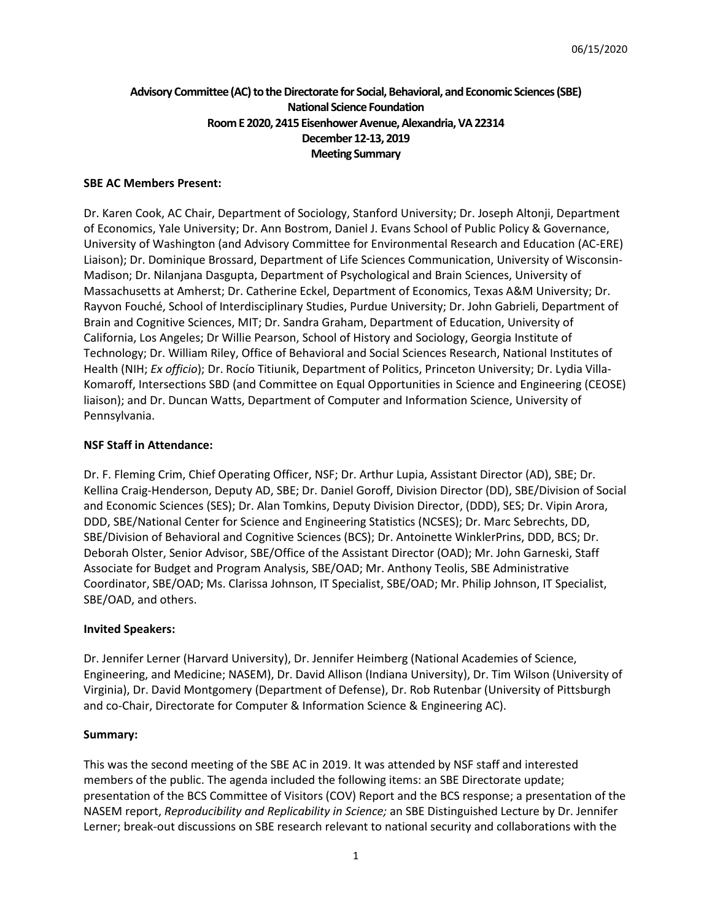# **Advisory Committee (AC) to the Directorate for Social, Behavioral, and Economic Sciences (SBE) National Science Foundation Room E 2020, 2415 Eisenhower Avenue, Alexandria, VA 22314 December12-13, 2019 Meeting Summary**

#### **SBE AC Members Present:**

Dr. Karen Cook, AC Chair, Department of Sociology, Stanford University; Dr. Joseph Altonji, Department of Economics, Yale University; Dr. Ann Bostrom, Daniel J. Evans School of Public Policy & Governance, University of Washington (and Advisory Committee for Environmental Research and Education (AC-ERE) Liaison); Dr. Dominique Brossard, Department of Life Sciences Communication, University of Wisconsin-Madison; Dr. Nilanjana Dasgupta, Department of Psychological and Brain Sciences, University of Massachusetts at Amherst; Dr. Catherine Eckel, Department of Economics, Texas A&M University; Dr. Rayvon Fouché, School of Interdisciplinary Studies, Purdue University; Dr. John Gabrieli, Department of Brain and Cognitive Sciences, MIT; Dr. Sandra Graham, Department of Education, University of California, Los Angeles; Dr Willie Pearson, School of History and Sociology, Georgia Institute of Technology; Dr. William Riley, Office of Behavioral and Social Sciences Research, National Institutes of Health (NIH; *Ex officio*); Dr. Rocío Titiunik, Department of Politics, Princeton University; Dr. Lydia Villa-Komaroff, Intersections SBD (and Committee on Equal Opportunities in Science and Engineering (CEOSE) liaison); and Dr. Duncan Watts, Department of Computer and Information Science, University of Pennsylvania.

### **NSF Staff in Attendance:**

Dr. F. Fleming Crim, Chief Operating Officer, NSF; Dr. Arthur Lupia, Assistant Director (AD), SBE; Dr. Kellina Craig-Henderson, Deputy AD, SBE; Dr. Daniel Goroff, Division Director (DD), SBE/Division of Social and Economic Sciences (SES); Dr. Alan Tomkins, Deputy Division Director, (DDD), SES; Dr. Vipin Arora, DDD, SBE/National Center for Science and Engineering Statistics (NCSES); Dr. Marc Sebrechts, DD, SBE/Division of Behavioral and Cognitive Sciences (BCS); Dr. Antoinette WinklerPrins, DDD, BCS; Dr. Deborah Olster, Senior Advisor, SBE/Office of the Assistant Director (OAD); Mr. John Garneski, Staff Associate for Budget and Program Analysis, SBE/OAD; Mr. Anthony Teolis, SBE Administrative Coordinator, SBE/OAD; Ms. Clarissa Johnson, IT Specialist, SBE/OAD; Mr. Philip Johnson, IT Specialist, SBE/OAD, and others.

#### **Invited Speakers:**

Dr. Jennifer Lerner (Harvard University), Dr. Jennifer Heimberg (National Academies of Science, Engineering, and Medicine; NASEM), Dr. David Allison (Indiana University), Dr. Tim Wilson (University of Virginia), Dr. David Montgomery (Department of Defense), Dr. Rob Rutenbar (University of Pittsburgh and co-Chair, Directorate for Computer & Information Science & Engineering AC).

#### **Summary:**

This was the second meeting of the SBE AC in 2019. It was attended by NSF staff and interested members of the public. The agenda included the following items: an SBE Directorate update; presentation of the BCS Committee of Visitors (COV) Report and the BCS response; a presentation of the NASEM report, *Reproducibility and Replicability in Science;* an SBE Distinguished Lecture by Dr. Jennifer Lerner; break-out discussions on SBE research relevant to national security and collaborations with the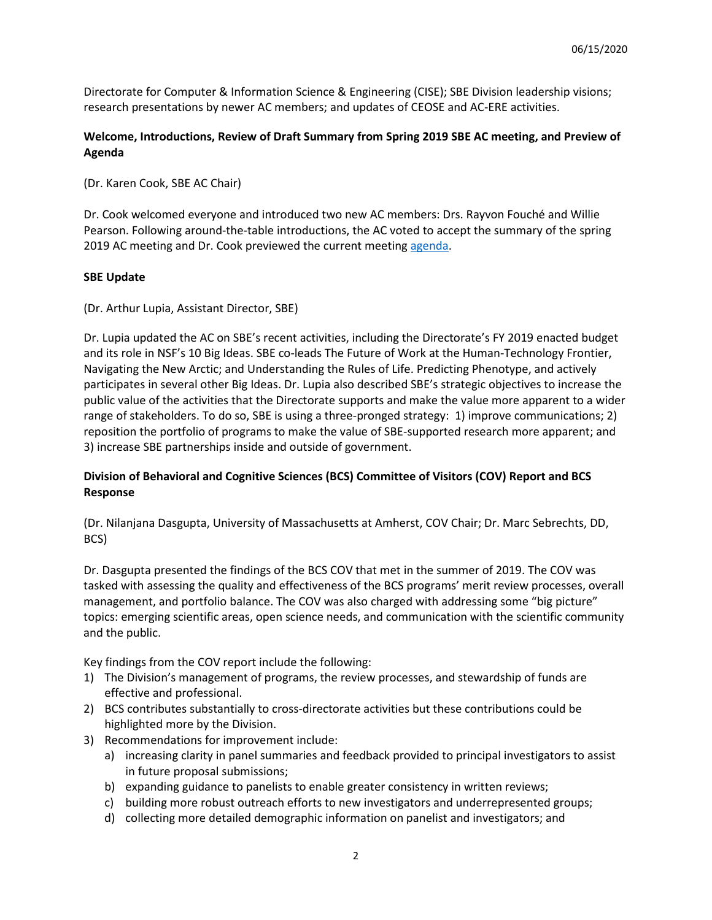Directorate for Computer & Information Science & Engineering (CISE); SBE Division leadership visions; research presentations by newer AC members; and updates of CEOSE and AC-ERE activities.

# **Welcome, Introductions, Review of Draft Summary from Spring 2019 SBE AC meeting, and Preview of Agenda**

(Dr. Karen Cook, SBE AC Chair)

Dr. Cook welcomed everyone and introduced two new AC members: Drs. Rayvon Fouché and Willie Pearson. Following around-the-table introductions, the AC voted to accept the summary of the spring 2019 AC meeting and Dr. Cook previewed the current meeting [agenda.](https://www.nsf.gov/sbe/Fall_2019_SBE_AC_Meeting_Agenda_Final_12_9_2019.pdf)

## **SBE Update**

(Dr. Arthur Lupia, Assistant Director, SBE)

Dr. Lupia updated the AC on SBE's recent activities, including the Directorate's FY 2019 enacted budget and its role in NSF's 10 Big Ideas. SBE co-leads The Future of Work at the Human-Technology Frontier, Navigating the New Arctic; and Understanding the Rules of Life. Predicting Phenotype, and actively participates in several other Big Ideas. Dr. Lupia also described SBE's strategic objectives to increase the public value of the activities that the Directorate supports and make the value more apparent to a wider range of stakeholders. To do so, SBE is using a three-pronged strategy: 1) improve communications; 2) reposition the portfolio of programs to make the value of SBE-supported research more apparent; and 3) increase SBE partnerships inside and outside of government.

# **Division of Behavioral and Cognitive Sciences (BCS) Committee of Visitors (COV) Report and BCS Response**

(Dr. Nilanjana Dasgupta, University of Massachusetts at Amherst, COV Chair; Dr. Marc Sebrechts, DD, BCS)

Dr. Dasgupta presented the findings of the BCS COV that met in the summer of 2019. The COV was tasked with assessing the quality and effectiveness of the BCS programs' merit review processes, overall management, and portfolio balance. The COV was also charged with addressing some "big picture" topics: emerging scientific areas, open science needs, and communication with the scientific community and the public.

Key findings from the COV report include the following:

- 1) The Division's management of programs, the review processes, and stewardship of funds are effective and professional.
- 2) BCS contributes substantially to cross-directorate activities but these contributions could be highlighted more by the Division.
- 3) Recommendations for improvement include:
	- a) increasing clarity in panel summaries and feedback provided to principal investigators to assist in future proposal submissions;
	- b) expanding guidance to panelists to enable greater consistency in written reviews;
	- c) building more robust outreach efforts to new investigators and underrepresented groups;
	- d) collecting more detailed demographic information on panelist and investigators; and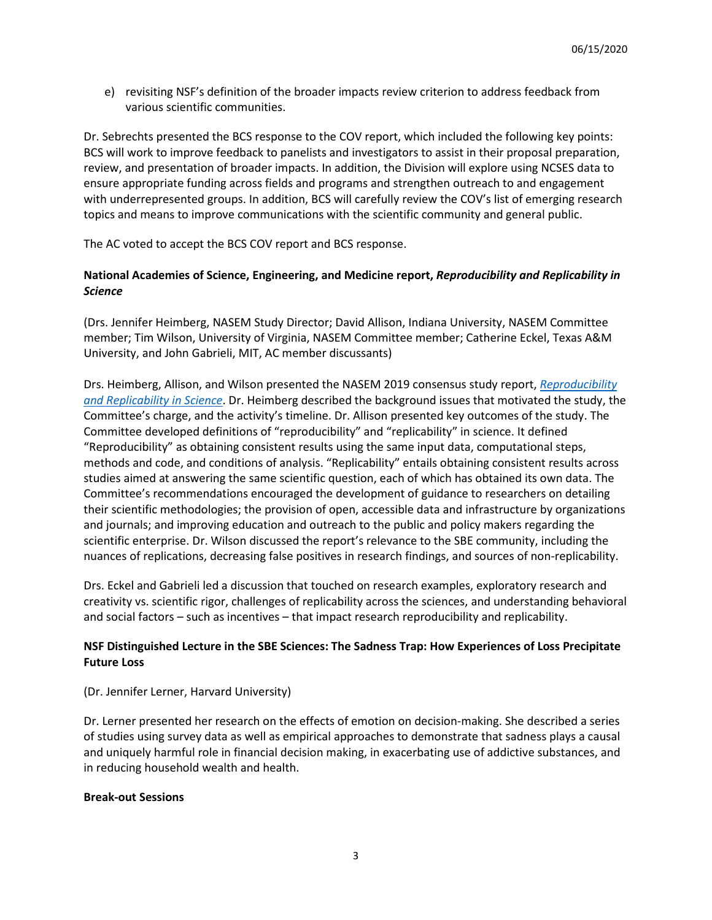e) revisiting NSF's definition of the broader impacts review criterion to address feedback from various scientific communities.

Dr. Sebrechts presented the BCS response to the COV report, which included the following key points: BCS will work to improve feedback to panelists and investigators to assist in their proposal preparation, review, and presentation of broader impacts. In addition, the Division will explore using NCSES data to ensure appropriate funding across fields and programs and strengthen outreach to and engagement with underrepresented groups. In addition, BCS will carefully review the COV's list of emerging research topics and means to improve communications with the scientific community and general public.

The AC voted to accept the BCS COV report and BCS response.

# **National Academies of Science, Engineering, and Medicine report,** *Reproducibility and Replicability in Science*

(Drs. Jennifer Heimberg, NASEM Study Director; David Allison, Indiana University, NASEM Committee member; Tim Wilson, University of Virginia, NASEM Committee member; Catherine Eckel, Texas A&M University, and John Gabrieli, MIT, AC member discussants)

Drs. Heimberg, Allison, and Wilson presented the NASEM 2019 consensus study report, *[Reproducibility](https://www.nap.edu/catalog/25303/reproducibility-and-replicability-in-science)  [and Replicability in Science](https://www.nap.edu/catalog/25303/reproducibility-and-replicability-in-science)*. Dr. Heimberg described the background issues that motivated the study, the Committee's charge, and the activity's timeline. Dr. Allison presented key outcomes of the study. The Committee developed definitions of "reproducibility" and "replicability" in science. It defined "Reproducibility" as obtaining consistent results using the same input data, computational steps, methods and code, and conditions of analysis. "Replicability" entails obtaining consistent results across studies aimed at answering the same scientific question, each of which has obtained its own data. The Committee's recommendations encouraged the development of guidance to researchers on detailing their scientific methodologies; the provision of open, accessible data and infrastructure by organizations and journals; and improving education and outreach to the public and policy makers regarding the scientific enterprise. Dr. Wilson discussed the report's relevance to the SBE community, including the nuances of replications, decreasing false positives in research findings, and sources of non-replicability.

Drs. Eckel and Gabrieli led a discussion that touched on research examples, exploratory research and creativity vs. scientific rigor, challenges of replicability across the sciences, and understanding behavioral and social factors – such as incentives – that impact research reproducibility and replicability.

# **NSF Distinguished Lecture in the SBE Sciences: The Sadness Trap: How Experiences of Loss Precipitate Future Loss**

#### (Dr. Jennifer Lerner, Harvard University)

Dr. Lerner presented her research on the effects of emotion on decision-making. She described a series of studies using survey data as well as empirical approaches to demonstrate that sadness plays a causal and uniquely harmful role in financial decision making, in exacerbating use of addictive substances, and in reducing household wealth and health.

#### **Break-out Sessions**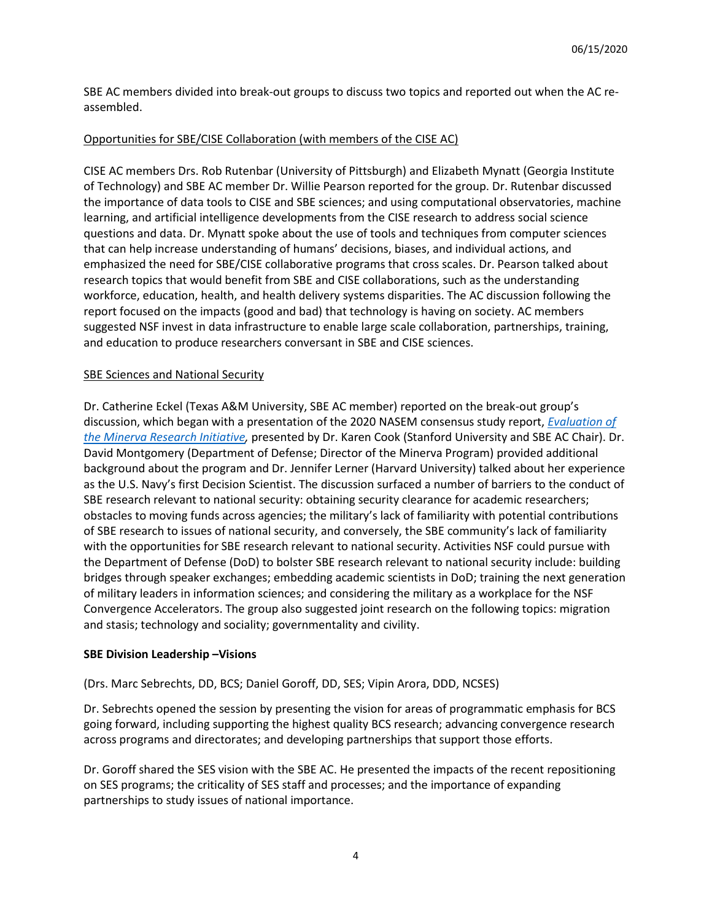SBE AC members divided into break-out groups to discuss two topics and reported out when the AC reassembled.

## Opportunities for SBE/CISE Collaboration (with members of the CISE AC)

CISE AC members Drs. Rob Rutenbar (University of Pittsburgh) and Elizabeth Mynatt (Georgia Institute of Technology) and SBE AC member Dr. Willie Pearson reported for the group. Dr. Rutenbar discussed the importance of data tools to CISE and SBE sciences; and using computational observatories, machine learning, and artificial intelligence developments from the CISE research to address social science questions and data. Dr. Mynatt spoke about the use of tools and techniques from computer sciences that can help increase understanding of humans' decisions, biases, and individual actions, and emphasized the need for SBE/CISE collaborative programs that cross scales. Dr. Pearson talked about research topics that would benefit from SBE and CISE collaborations, such as the understanding workforce, education, health, and health delivery systems disparities. The AC discussion following the report focused on the impacts (good and bad) that technology is having on society. AC members suggested NSF invest in data infrastructure to enable large scale collaboration, partnerships, training, and education to produce researchers conversant in SBE and CISE sciences.

### **SBE Sciences and National Security**

Dr. Catherine Eckel (Texas A&M University, SBE AC member) reported on the break-out group's discussion, which began with a presentation of the 2020 NASEM consensus study report, *[Evaluation of](https://www.nap.edu/catalog/25482/evaluation-of-the-minerva-research-initiative)  [the Minerva Research Initiative,](https://www.nap.edu/catalog/25482/evaluation-of-the-minerva-research-initiative)* presented by Dr. Karen Cook (Stanford University and SBE AC Chair). Dr. David Montgomery (Department of Defense; Director of the Minerva Program) provided additional background about the program and Dr. Jennifer Lerner (Harvard University) talked about her experience as the U.S. Navy's first Decision Scientist. The discussion surfaced a number of barriers to the conduct of SBE research relevant to national security: obtaining security clearance for academic researchers; obstacles to moving funds across agencies; the military's lack of familiarity with potential contributions of SBE research to issues of national security, and conversely, the SBE community's lack of familiarity with the opportunities for SBE research relevant to national security. Activities NSF could pursue with the Department of Defense (DoD) to bolster SBE research relevant to national security include: building bridges through speaker exchanges; embedding academic scientists in DoD; training the next generation of military leaders in information sciences; and considering the military as a workplace for the NSF Convergence Accelerators. The group also suggested joint research on the following topics: migration and stasis; technology and sociality; governmentality and civility.

#### **SBE Division Leadership –Visions**

(Drs. Marc Sebrechts, DD, BCS; Daniel Goroff, DD, SES; Vipin Arora, DDD, NCSES)

Dr. Sebrechts opened the session by presenting the vision for areas of programmatic emphasis for BCS going forward, including supporting the highest quality BCS research; advancing convergence research across programs and directorates; and developing partnerships that support those efforts.

Dr. Goroff shared the SES vision with the SBE AC. He presented the impacts of the recent repositioning on SES programs; the criticality of SES staff and processes; and the importance of expanding partnerships to study issues of national importance.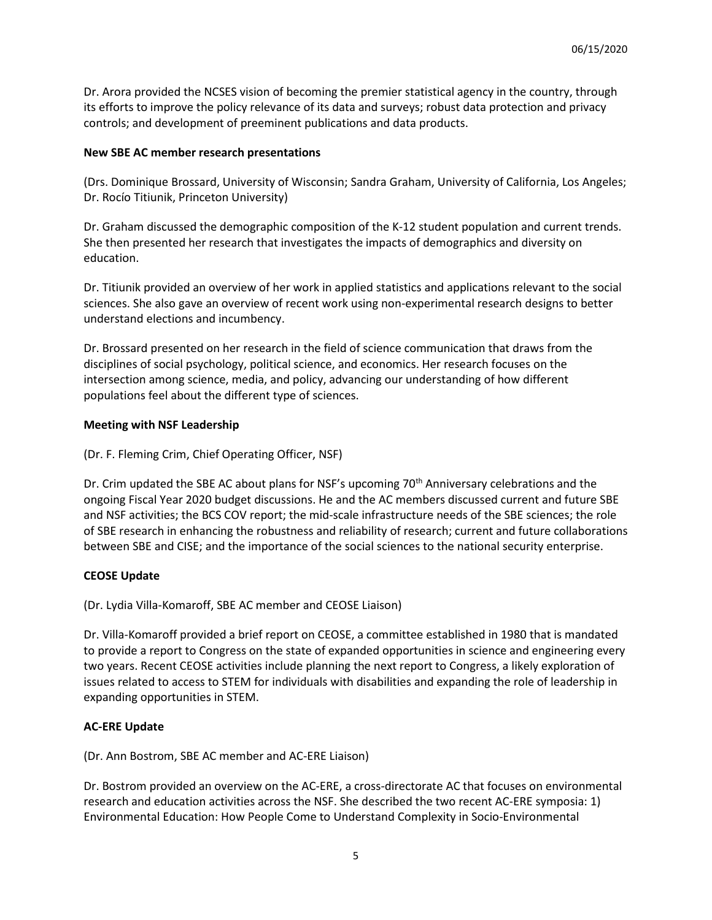Dr. Arora provided the NCSES vision of becoming the premier statistical agency in the country, through its efforts to improve the policy relevance of its data and surveys; robust data protection and privacy controls; and development of preeminent publications and data products.

## **New SBE AC member research presentations**

(Drs. Dominique Brossard, University of Wisconsin; Sandra Graham, University of California, Los Angeles; Dr. Rocío Titiunik, Princeton University)

Dr. Graham discussed the demographic composition of the K-12 student population and current trends. She then presented her research that investigates the impacts of demographics and diversity on education.

Dr. Titiunik provided an overview of her work in applied statistics and applications relevant to the social sciences. She also gave an overview of recent work using non-experimental research designs to better understand elections and incumbency.

Dr. Brossard presented on her research in the field of science communication that draws from the disciplines of social psychology, political science, and economics. Her research focuses on the intersection among science, media, and policy, advancing our understanding of how different populations feel about the different type of sciences.

### **Meeting with NSF Leadership**

(Dr. F. Fleming Crim, Chief Operating Officer, NSF)

Dr. Crim updated the SBE AC about plans for NSF's upcoming 70<sup>th</sup> Anniversary celebrations and the ongoing Fiscal Year 2020 budget discussions. He and the AC members discussed current and future SBE and NSF activities; the BCS COV report; the mid-scale infrastructure needs of the SBE sciences; the role of SBE research in enhancing the robustness and reliability of research; current and future collaborations between SBE and CISE; and the importance of the social sciences to the national security enterprise.

## **CEOSE Update**

(Dr. Lydia Villa-Komaroff, SBE AC member and CEOSE Liaison)

Dr. Villa-Komaroff provided a brief report on CEOSE, a committee established in 1980 that is mandated to provide a report to Congress on the state of expanded opportunities in science and engineering every two years. Recent CEOSE activities include planning the next report to Congress, a likely exploration of issues related to access to STEM for individuals with disabilities and expanding the role of leadership in expanding opportunities in STEM.

#### **AC-ERE Update**

(Dr. Ann Bostrom, SBE AC member and AC-ERE Liaison)

Dr. Bostrom provided an overview on the AC-ERE, a cross-directorate AC that focuses on environmental research and education activities across the NSF. She described the two recent AC-ERE symposia: 1) Environmental Education: How People Come to Understand Complexity in Socio-Environmental